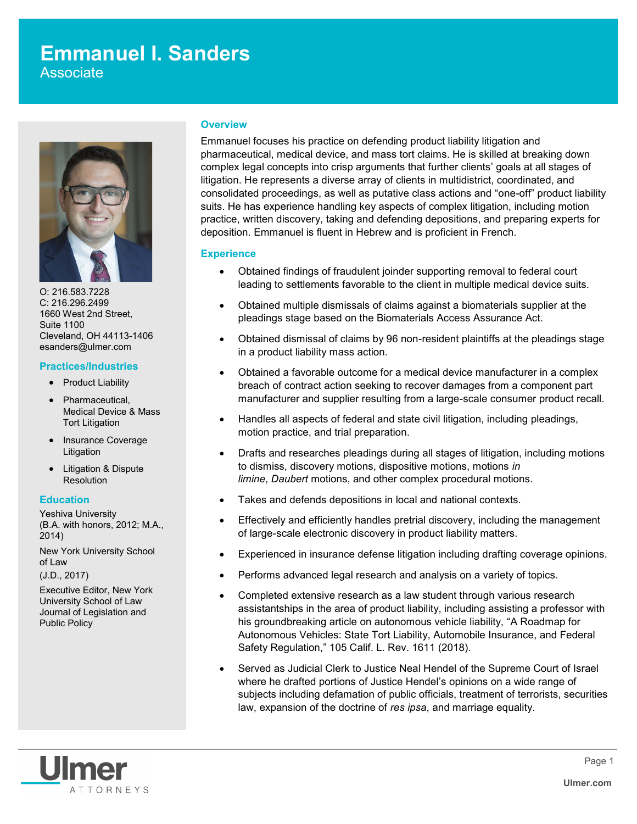# **Emmanuel I. Sanders**

Associate



O: 216.583.7228 C: 216.296.2499 1660 West 2nd Street, Suite 1100 Cleveland, OH 44113-1406 esanders@ulmer.com

# **Practices/Industries**

- Product Liability
- Pharmaceutical, Medical Device & Mass Tort Litigation
- Insurance Coverage Litigation
- Litigation & Dispute **Resolution**

# **Education**

Yeshiva University (B.A. with honors, 2012; M.A., 2014)

New York University School of Law

(J.D., 2017)

Executive Editor, New York University School of Law Journal of Legislation and Public Policy

### **Overview**

Emmanuel focuses his practice on defending product liability litigation and pharmaceutical, medical device, and mass tort claims. He is skilled at breaking down complex legal concepts into crisp arguments that further clients' goals at all stages of litigation. He represents a diverse array of clients in multidistrict, coordinated, and consolidated proceedings, as well as putative class actions and "one-off" product liability suits. He has experience handling key aspects of complex litigation, including motion practice, written discovery, taking and defending depositions, and preparing experts for deposition. Emmanuel is fluent in Hebrew and is proficient in French.

## **Experience**

- Obtained findings of fraudulent joinder supporting removal to federal court leading to settlements favorable to the client in multiple medical device suits.
- Obtained multiple dismissals of claims against a biomaterials supplier at the pleadings stage based on the Biomaterials Access Assurance Act.
- Obtained dismissal of claims by 96 non-resident plaintiffs at the pleadings stage in a product liability mass action.
- Obtained a favorable outcome for a medical device manufacturer in a complex breach of contract action seeking to recover damages from a component part manufacturer and supplier resulting from a large-scale consumer product recall.
- Handles all aspects of federal and state civil litigation, including pleadings, motion practice, and trial preparation.
- Drafts and researches pleadings during all stages of litigation, including motions to dismiss, discovery motions, dispositive motions, motions *in limine*, *Daubert* motions, and other complex procedural motions.
- Takes and defends depositions in local and national contexts.
- Effectively and efficiently handles pretrial discovery, including the management of large-scale electronic discovery in product liability matters.
- Experienced in insurance defense litigation including drafting coverage opinions.
- Performs advanced legal research and analysis on a variety of topics.
- Completed extensive research as a law student through various research assistantships in the area of product liability, including assisting a professor with his groundbreaking article on autonomous vehicle liability, "A Roadmap for Autonomous Vehicles: State Tort Liability, Automobile Insurance, and Federal Safety Regulation," 105 Calif. L. Rev. 1611 (2018).
- Served as Judicial Clerk to Justice Neal Hendel of the Supreme Court of Israel where he drafted portions of Justice Hendel's opinions on a wide range of subjects including defamation of public officials, treatment of terrorists, securities law, expansion of the doctrine of *res ipsa*, and marriage equality.